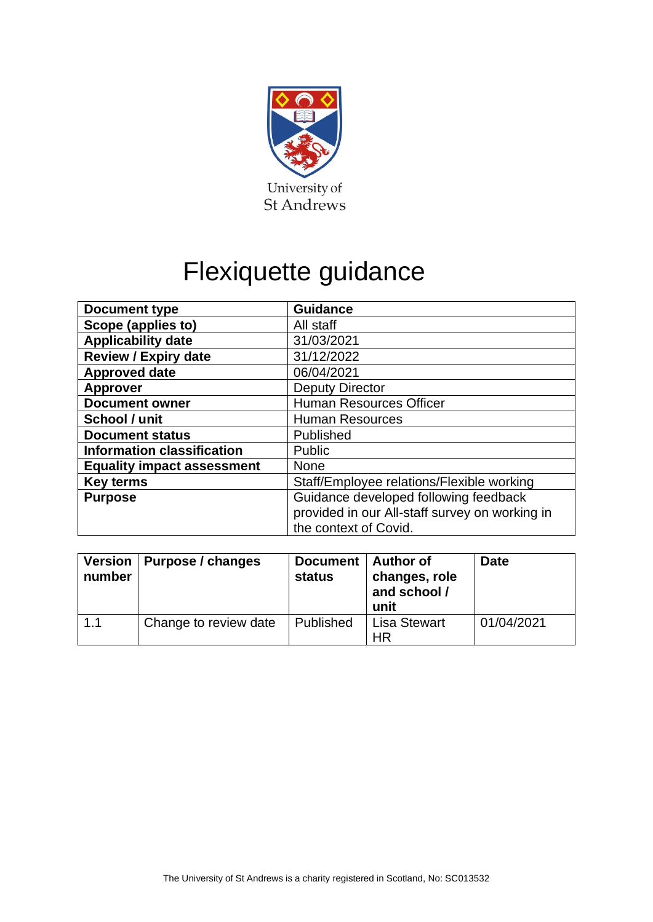

# Flexiquette guidance

| Document type                     | <b>Guidance</b>                                |
|-----------------------------------|------------------------------------------------|
| Scope (applies to)                | All staff                                      |
| <b>Applicability date</b>         | 31/03/2021                                     |
| <b>Review / Expiry date</b>       | 31/12/2022                                     |
| <b>Approved date</b>              | 06/04/2021                                     |
| <b>Approver</b>                   | <b>Deputy Director</b>                         |
| <b>Document owner</b>             | <b>Human Resources Officer</b>                 |
| School / unit                     | <b>Human Resources</b>                         |
| <b>Document status</b>            | Published                                      |
| <b>Information classification</b> | Public                                         |
| <b>Equality impact assessment</b> | <b>None</b>                                    |
| <b>Key terms</b>                  | Staff/Employee relations/Flexible working      |
| <b>Purpose</b>                    | Guidance developed following feedback          |
|                                   | provided in our All-staff survey on working in |
|                                   | the context of Covid.                          |

| number | Version   Purpose / changes | Document  <br>status | <b>Author of</b><br>changes, role<br>and school /<br>unit | <b>Date</b> |
|--------|-----------------------------|----------------------|-----------------------------------------------------------|-------------|
| 1.1    | Change to review date       | Published            | <b>Lisa Stewart</b><br>ΗR                                 | 01/04/2021  |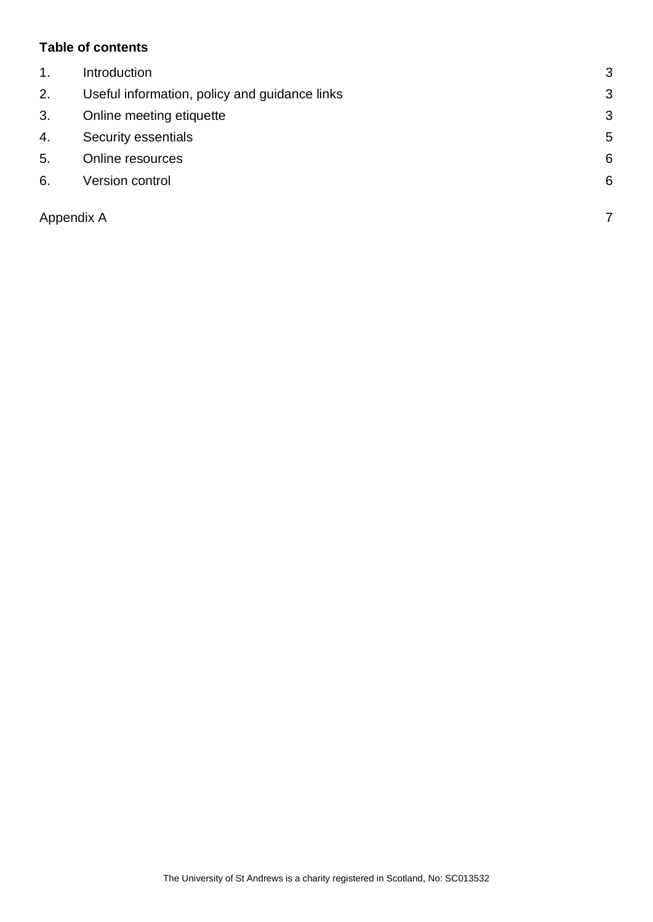#### **Table of contents**

| $\mathbf{1}$ . | Introduction                                  | 3 |
|----------------|-----------------------------------------------|---|
| 2.             | Useful information, policy and guidance links | 3 |
| 3.             | Online meeting etiquette                      | 3 |
| 4.             | Security essentials                           | 5 |
| 5.             | Online resources                              | 6 |
| 6.             | Version control                               | 6 |
|                |                                               |   |
| Appendix A     |                                               | 7 |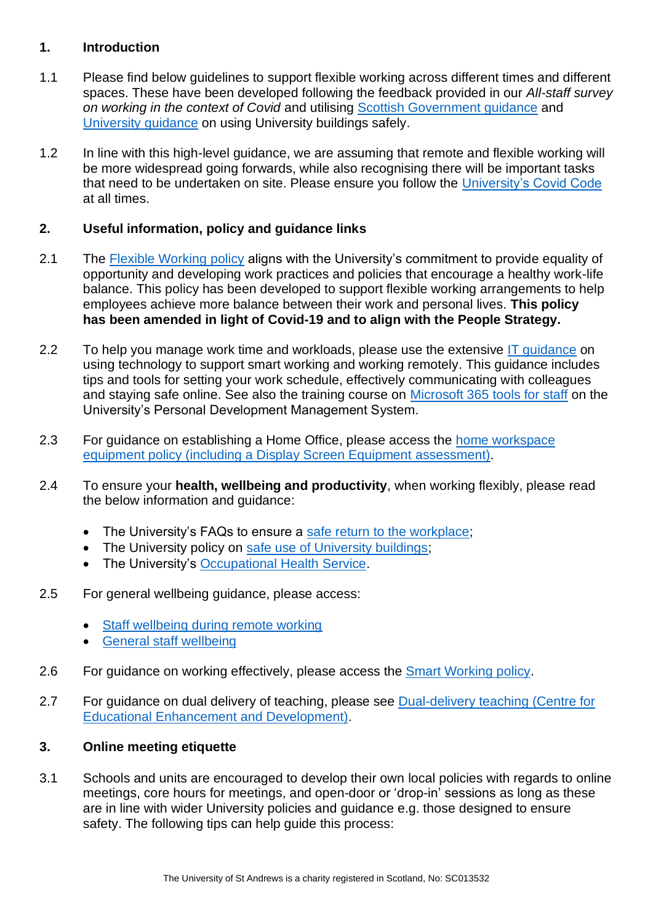#### <span id="page-2-0"></span>**1. Introduction**

- 1.1 Please find below guidelines to support flexible working across different times and different spaces. These have been developed following the feedback provided in our *All-staff survey on working in the context of Covid* and utilising [Scottish Government guidance](https://www.gov.scot/publications/coronavirus-covid-19-returning-to-work/) and [University guidance](https://www.st-andrews.ac.uk/policy/safe-st-andrews/internal/safe-use-of-university-buildings-guidance.pdf) on using University buildings safely.
- 1.2 In line with this high-level guidance, we are assuming that remote and flexible working will be more widespread going forwards, while also recognising there will be important tasks that need to be undertaken on site. Please ensure you follow the [University's Covid Code](https://www.st-andrews.ac.uk/coronavirus/covid-code/) at all times.

# <span id="page-2-1"></span>**2. Useful information, policy and guidance links**

- 2.1 The [Flexible Working policy](https://www.st-andrews.ac.uk/staff/policy/hr/flexibleworkingpolicy/) aligns with the University's commitment to provide equality of opportunity and developing work practices and policies that encourage a healthy work-life balance. This policy has been developed to support flexible working arrangements to help employees achieve more balance between their work and personal lives. **This policy has been amended in light of Covid-19 and to align with the People Strategy.**
- 2.2 To help you manage work time and workloads, please use the extensive IT quidance on using technology to support smart working and working remotely. This guidance includes tips and tools for setting your work schedule, effectively communicating with colleagues and staying safe online. See also the training course on [Microsoft 365 tools for staff](https://www.st-andrews.ac.uk/pdms/?mode=query&query=%27Microsoft+365+tools+for+staff) on the University's Personal Development Management System.
- 2.3 For guidance on establishing a Home Office, please access the [home workspace](https://www.st-andrews.ac.uk/policy/safe-st-andrews/internal/home-workspace-equipment-policy.pdf)  [equipment policy \(including a Display Screen Equipment](https://www.st-andrews.ac.uk/policy/safe-st-andrews/internal/home-workspace-equipment-policy.pdf) assessment).
- 2.4 To ensure your **health, wellbeing and productivity**, when working flexibly, please read the below information and guidance:
	- The University's FAQs to ensure a [safe return to the workplace;](https://www.st-andrews.ac.uk/coronavirus/staff/#d.en.102230)
	- The University policy on [safe use of University buildings;](https://www.st-andrews.ac.uk/policy/safe-st-andrews/internal/safe-use-of-university-buildings-guidance.pdf)
	- The University's [Occupational Health Service.](https://www.st-andrews.ac.uk/ehss/occupationalhealth/)
- 2.5 For general wellbeing guidance, please access:
	- Staff wellbeing during remote working
	- [General staff wellbeing](https://www.st-andrews.ac.uk/staff/wellbeing/)
- 2.6 For guidance on working effectively, please access the [Smart Working policy.](https://www.st-andrews.ac.uk/hr/smart-working/)
- 2.7 For guidance on dual delivery of teaching, please see Dual-delivery teaching (Centre for [Educational Enhancement and Development\).](https://www.st-andrews.ac.uk/ceed/)

# <span id="page-2-2"></span>**3. Online meeting etiquette**

3.1 Schools and units are encouraged to develop their own local policies with regards to online meetings, core hours for meetings, and open-door or 'drop-in' sessions as long as these are in line with wider University policies and guidance e.g. those designed to ensure safety. The following tips can help guide this process: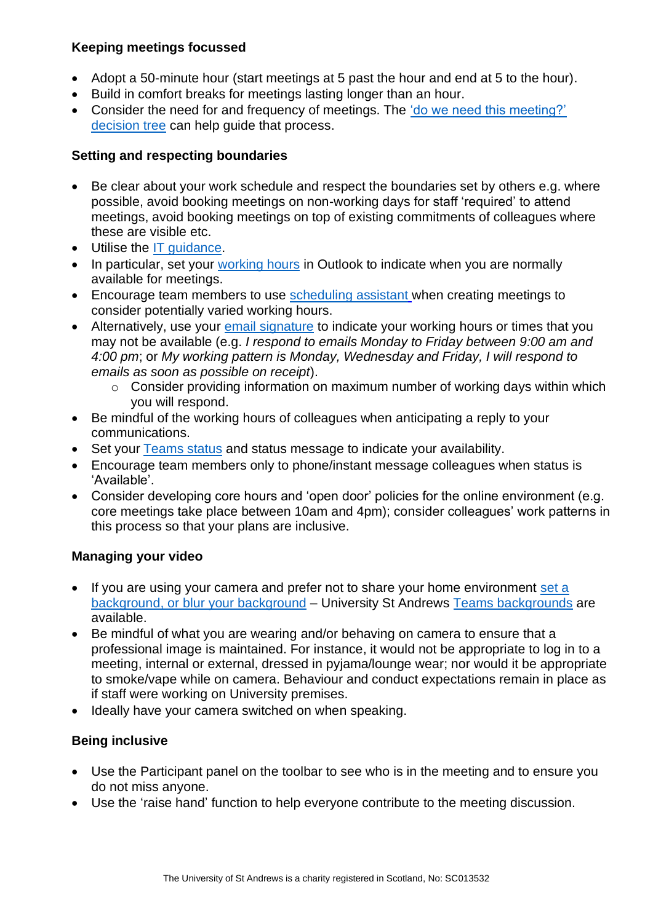#### **Keeping meetings focussed**

- Adopt a 50-minute hour (start meetings at 5 past the hour and end at 5 to the hour).
- Build in comfort breaks for meetings lasting longer than an hour.
- Consider the need for and frequency of meetings. The 'do we need this meeting?' [decision tree](https://universityofstandrews907-my.sharepoint.com/:b:/g/personal/jl251_st-andrews_ac_uk/EbbJolnr8DBMokGvH6VJxCMBwsz6VfLbmeT_43WP_f7LeA?e=Y7D93X) can help guide that process.

#### **Setting and respecting boundaries**

- Be clear about your work schedule and respect the boundaries set by others e.g. where possible, avoid booking meetings on non-working days for staff 'required' to attend meetings, avoid booking meetings on top of existing commitments of colleagues where these are visible etc.
- Utilise the [IT guidance.](https://www.st-andrews.ac.uk/it-support/new-staff/work-from-home/)
- In particular, set your [working hours](https://support.microsoft.com/en-us/office/change-your-work-hours-and-days-in-outlook-a27f261d-0681-415f-8ac1-388ab21e833f) in Outlook to indicate when you are normally available for meetings.
- Encourage team members to use [scheduling assistant](https://support.microsoft.com/en-us/office/video-use-the-scheduling-assistant-a7bf1aee-bee6-46d6-a126-194ed04fbe09) when creating meetings to consider potentially varied working hours.
- Alternatively, use your [email signature](https://support.microsoft.com/en-us/office/create-and-add-a-signature-to-messages-8ee5d4f4-68fd-464a-a1c1-0e1c80bb27f2) to indicate your working hours or times that you may not be available (e.g. *I respond to emails Monday to Friday between 9:00 am and 4:00 pm*; or *My working pattern is Monday, Wednesday and Friday, I will respond to emails as soon as possible on receipt*).
	- o Consider providing information on maximum number of working days within which you will respond.
- Be mindful of the working hours of colleagues when anticipating a reply to your communications.
- Set your [Teams status](https://support.microsoft.com/en-us/office/change-your-status-in-teams-ce36ed14-6bc9-4775-a33e-6629ba4ff78e) and status message to indicate your availability.
- Encourage team members only to phone/instant message colleagues when status is 'Available'.
- Consider developing core hours and 'open door' policies for the online environment (e.g. core meetings take place between 10am and 4pm); consider colleagues' work patterns in this process so that your plans are inclusive.

## **Managing your video**

- If you are using your camera and prefer not to share your home environment set a [background, or blur your background](https://support.microsoft.com/en-us/office/change-your-background-for-a-teams-meeting-f77a2381-443a-499d-825e-509a140f4780) – University St Andrews [Teams backgrounds](https://www.st-andrews.ac.uk/it-support/services/office-365/teams-backgrounds/) are available.
- Be mindful of what you are wearing and/or behaving on camera to ensure that a professional image is maintained. For instance, it would not be appropriate to log in to a meeting, internal or external, dressed in pyjama/lounge wear; nor would it be appropriate to smoke/vape while on camera. Behaviour and conduct expectations remain in place as if staff were working on University premises.
- Ideally have your camera switched on when speaking.

## **Being inclusive**

- Use the Participant panel on the toolbar to see who is in the meeting and to ensure you do not miss anyone.
- Use the 'raise hand' function to help everyone contribute to the meeting discussion.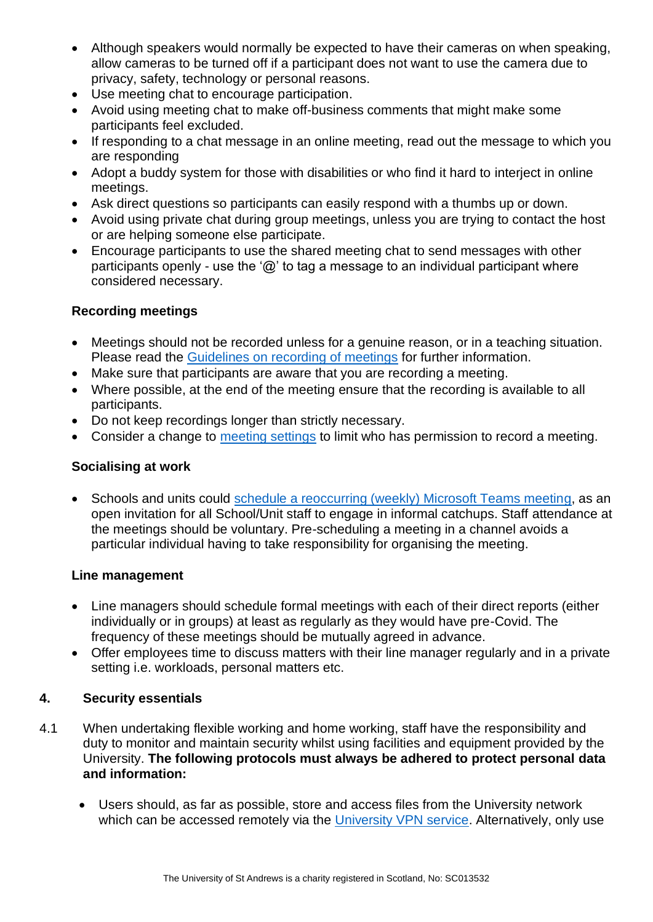- Although speakers would normally be expected to have their cameras on when speaking, allow cameras to be turned off if a participant does not want to use the camera due to privacy, safety, technology or personal reasons.
- Use meeting chat to encourage participation.
- Avoid using meeting chat to make off-business comments that might make some participants feel excluded.
- If responding to a chat message in an online meeting, read out the message to which you are responding
- Adopt a buddy system for those with disabilities or who find it hard to interject in online meetings.
- Ask direct questions so participants can easily respond with a thumbs up or down.
- Avoid using private chat during group meetings, unless you are trying to contact the host or are helping someone else participate.
- Encourage participants to use the shared meeting chat to send messages with other participants openly - use the ' $\omega$ ' to tag a message to an individual participant where considered necessary.

# **Recording meetings**

- Meetings should not be recorded unless for a genuine reason, or in a teaching situation. Please read the [Guidelines on recording of meetings](https://www.st-andrews.ac.uk/media/human-resources/new-policy-section-documents/recordingofmeetings/Guidelines%20on%20Recording%20of%20Meetings%20involving%20University%20Staff%20and%20Students.pdf) for further information.
- Make sure that participants are aware that you are recording a meeting.
- Where possible, at the end of the meeting ensure that the recording is available to all participants.
- Do not keep recordings longer than strictly necessary.
- Consider a change to [meeting settings](https://support.microsoft.com/en-gb/office/roles-in-a-teams-meeting-c16fa7d0-1666-4dde-8686-0a0bfe16e019?ui=en-us&rs=en-gb&ad=gb) to limit who has permission to record a meeting.

# **Socialising at work**

• Schools and units could [schedule a reoccurring \(weekly\) Microsoft Teams meeting](https://support.microsoft.com/en-us/office/schedule-a-meeting-in-teams-943507a9-8583-4c58-b5d2-8ec8265e04e5#:~:text=%20There%20are%20several%20ways%20to%20schedule%20a,A%20scheduling%20form%20will%20pop%20open.%20More%20), as an open invitation for all School/Unit staff to engage in informal catchups. Staff attendance at the meetings should be voluntary. Pre-scheduling a meeting in a channel avoids a particular individual having to take responsibility for organising the meeting.

## **Line management**

- Line managers should schedule formal meetings with each of their direct reports (either individually or in groups) at least as regularly as they would have pre-Covid. The frequency of these meetings should be mutually agreed in advance.
- Offer employees time to discuss matters with their line manager regularly and in a private setting i.e. workloads, personal matters etc.

# <span id="page-4-0"></span>**4. Security essentials**

- 4.1 When undertaking flexible working and home working, staff have the responsibility and duty to monitor and maintain security whilst using facilities and equipment provided by the University. **The following protocols must always be adhered to protect personal data and information:**
	- Users should, as far as possible, store and access files from the University network which can be accessed remotely via the [University VPN service.](https://www.st-andrews.ac.uk/it-support/services/internet/vpn/) Alternatively, only use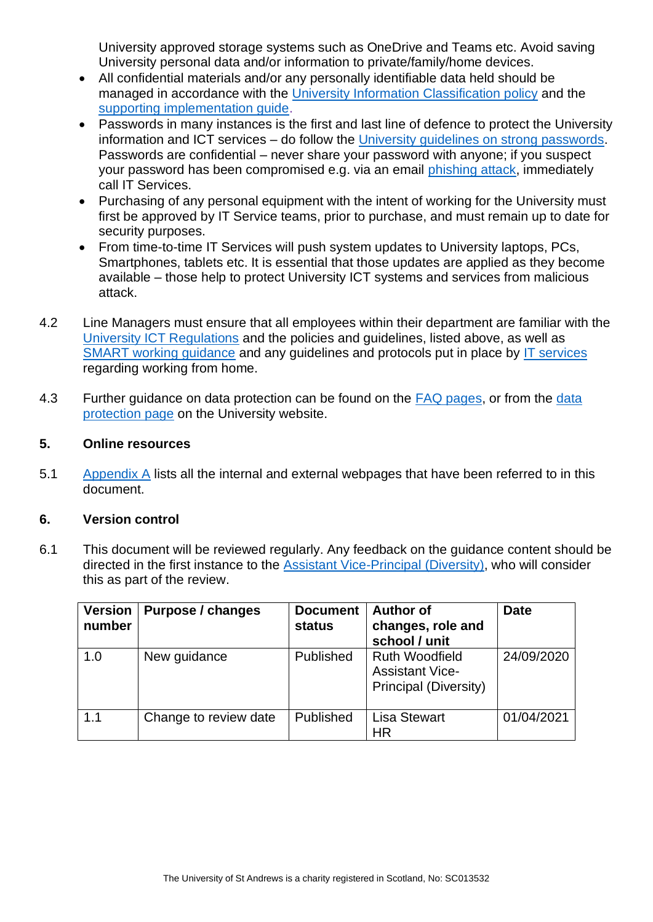University approved storage systems such as OneDrive and Teams etc. Avoid saving University personal data and/or information to private/family/home devices.

- All confidential materials and/or any personally identifiable data held should be managed in accordance with the [University Information Classification policy](https://www.st-andrews.ac.uk/s/redirect?collection=uosa-meta-policy&url=https%3A%2F%2Fwww.st-andrews.ac.uk%2Fpolicy%2Finformation-governance-and-management-information-security%2Funiversity-information-classification-policy.pdf&auth=8lh0gD8m8tK5of1lzJBrBA&profile=_default&rank=2&query=information+classification) and the [supporting implementation guide.](https://www.st-andrews.ac.uk/s/redirect?collection=uosa-meta-policy&url=https%3A%2F%2Fwww.st-andrews.ac.uk%2Fpolicy%2Finformation-governance-and-management-information-security%2Finformation-classification-policy-implementation-guide.pdf&auth=CdUxoYkAY4RBhKCbjAv1kA&profile=_default&rank=2&query=information+classification+%7Calpha%3A%22%24%2B%2B+I+%24%2B%2B%22)
- Passwords in many instances is the first and last line of defence to protect the University information and ICT services – do follow the [University guidelines on strong passwords.](https://www.st-andrews.ac.uk/it-support/security/password/) Passwords are confidential – never share your password with anyone; if you suspect your password has been compromised e.g. via an email [phishing attack,](https://www.st-andrews.ac.uk/it-support/security/phishing/) immediately call IT Services.
- Purchasing of any personal equipment with the intent of working for the University must first be approved by [IT Service teams,](https://www.st-andrews.ac.uk/it-support/contact/) prior to purchase, and must remain up to date for security purposes.
- From time-to-time IT Services will push system updates to University laptops, PCs, Smartphones, tablets etc. It is essential that those updates are applied as they become available – those help to protect University ICT systems and services from malicious attack.
- 4.2 Line Managers must ensure that all employees within their department are familiar with the [University ICT Regulations](https://www.st-andrews.ac.uk/s/redirect?collection=uosa-meta-policy&url=https%3A%2F%2Fwww.st-andrews.ac.uk%2Fpolicy%2Finformation-technology%2Fict-regulations.pdf&auth=9RFcye5W2zKsnkFxfKccmA&profile=_default&rank=1&query=information+classification+%7Calpha%3A%22%24%2B%2B+I+%24%2B%2B%22) and the policies and guidelines, listed above, as well as [SMART working guidance](https://www.st-andrews.ac.uk/hr/smart-working/) and any guidelines and protocols put in place by [IT services](https://www.st-andrews.ac.uk/it-support/new-staff/work-from-home/) regarding working from home.
- 4.3 Further guidance on data protection can be found on the [FAQ pages,](https://www.st-andrews.ac.uk/staff/policy/gdpr-faq/) or from the data [protection page](https://www.st-andrews.ac.uk/terms/data-protection/) on the University website.

#### <span id="page-5-0"></span>**5. Online resources**

5.1 [Appendix A](#page-6-0) lists all the internal and external webpages that have been referred to in this document.

#### <span id="page-5-1"></span>**6. Version control**

6.1 This document will be reviewed regularly. Any feedback on the guidance content should be directed in the first instance to the [Assistant Vice-Principal \(Diversity\),](mailto:avpdiversity@st-andrews.ac.uk) who will consider this as part of the review.

| <b>Version</b><br>number | Purpose / changes     | <b>Document</b><br><b>status</b> | <b>Author of</b><br>changes, role and<br>school / unit                   | <b>Date</b> |
|--------------------------|-----------------------|----------------------------------|--------------------------------------------------------------------------|-------------|
| 1.0                      | New guidance          | Published                        | <b>Ruth Woodfield</b><br><b>Assistant Vice-</b><br>Principal (Diversity) | 24/09/2020  |
| 1.1                      | Change to review date | Published                        | <b>Lisa Stewart</b><br>HR                                                | 01/04/2021  |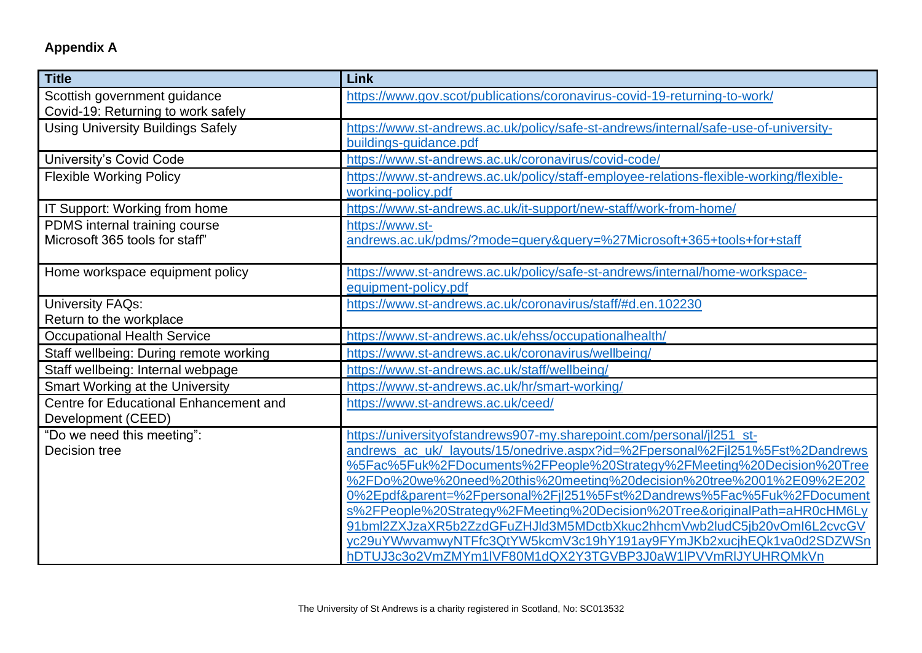# **Appendix A**

<span id="page-6-0"></span>

| <b>Title</b>                             | Link                                                                                    |
|------------------------------------------|-----------------------------------------------------------------------------------------|
| Scottish government guidance             | https://www.gov.scot/publications/coronavirus-covid-19-returning-to-work/               |
| Covid-19: Returning to work safely       |                                                                                         |
| <b>Using University Buildings Safely</b> | https://www.st-andrews.ac.uk/policy/safe-st-andrews/internal/safe-use-of-university-    |
|                                          | buildings-quidance.pdf                                                                  |
| <b>University's Covid Code</b>           | https://www.st-andrews.ac.uk/coronavirus/covid-code/                                    |
| <b>Flexible Working Policy</b>           | https://www.st-andrews.ac.uk/policy/staff-employee-relations-flexible-working/flexible- |
|                                          | working-policy.pdf                                                                      |
| IT Support: Working from home            | https://www.st-andrews.ac.uk/it-support/new-staff/work-from-home/                       |
| PDMS internal training course            | https://www.st-                                                                         |
| Microsoft 365 tools for staff"           | andrews.ac.uk/pdms/?mode=query&query=%27Microsoft+365+tools+for+staff                   |
|                                          |                                                                                         |
| Home workspace equipment policy          | https://www.st-andrews.ac.uk/policy/safe-st-andrews/internal/home-workspace-            |
|                                          | equipment-policy.pdf                                                                    |
| <b>University FAQs:</b>                  | https://www.st-andrews.ac.uk/coronavirus/staff/#d.en.102230                             |
| Return to the workplace                  |                                                                                         |
| <b>Occupational Health Service</b>       | https://www.st-andrews.ac.uk/ehss/occupationalhealth/                                   |
| Staff wellbeing: During remote working   | https://www.st-andrews.ac.uk/coronavirus/wellbeing/                                     |
| Staff wellbeing: Internal webpage        | https://www.st-andrews.ac.uk/staff/wellbeing/                                           |
| Smart Working at the University          | https://www.st-andrews.ac.uk/hr/smart-working/                                          |
| Centre for Educational Enhancement and   | https://www.st-andrews.ac.uk/ceed/                                                      |
| Development (CEED)                       |                                                                                         |
| "Do we need this meeting":               | https://universityofstandrews907-my.sharepoint.com/personal/jl251_st-                   |
| Decision tree                            | andrews ac uk/ layouts/15/onedrive.aspx?id=%2Fpersonal%2Fjl251%5Fst%2Dandrews           |
|                                          | %5Fac%5Fuk%2FDocuments%2FPeople%20Strategy%2FMeeting%20Decision%20Tree                  |
|                                          | %2FDo%20we%20need%20this%20meeting%20decision%20tree%2001%2E09%2E202                    |
|                                          | 0%2Epdf&parent=%2Fpersonal%2Fjl251%5Fst%2Dandrews%5Fac%5Fuk%2FDocument                  |
|                                          | s%2FPeople%20Strategy%2FMeeting%20Decision%20Tree&originalPath=aHR0cHM6Ly               |
|                                          | 91bml2ZXJzaXR5b2ZzdGFuZHJld3M5MDctbXkuc2hhcmVwb2ludC5jb20vOmI6L2cvcGV                   |
|                                          | yc29uYWwvamwyNTFfc3QtYW5kcmV3c19hY191ay9FYmJKb2xucjhEQk1va0d2SDZWSn                     |
|                                          | hDTUJ3c3o2VmZMYm1IVF80M1dQX2Y3TGVBP3J0aW1IPVVmRIJYUHRQMkVn                              |